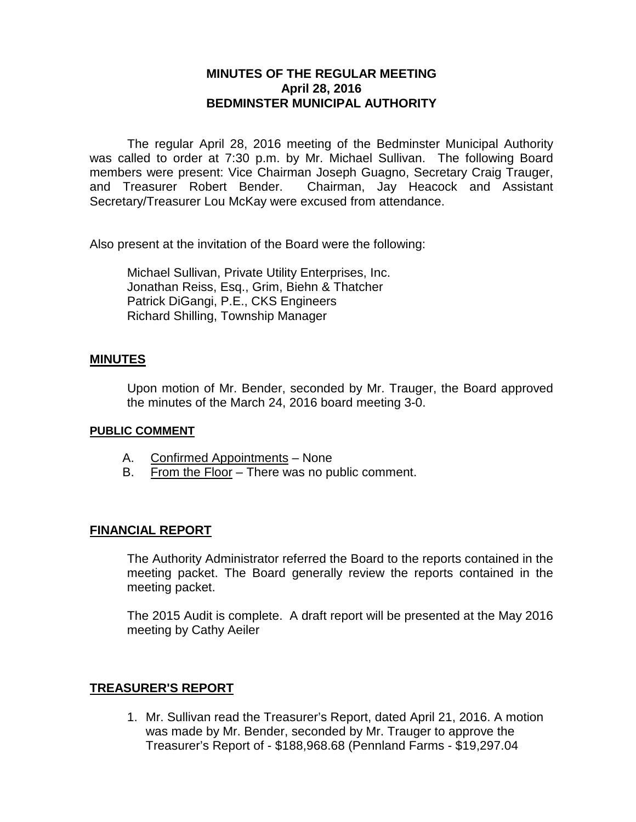# **MINUTES OF THE REGULAR MEETING April 28, 2016 BEDMINSTER MUNICIPAL AUTHORITY**

The regular April 28, 2016 meeting of the Bedminster Municipal Authority was called to order at 7:30 p.m. by Mr. Michael Sullivan. The following Board members were present: Vice Chairman Joseph Guagno, Secretary Craig Trauger, and Treasurer Robert Bender. Chairman, Jay Heacock and Assistant Secretary/Treasurer Lou McKay were excused from attendance.

Also present at the invitation of the Board were the following:

Michael Sullivan, Private Utility Enterprises, Inc. Jonathan Reiss, Esq., Grim, Biehn & Thatcher Patrick DiGangi, P.E., CKS Engineers Richard Shilling, Township Manager

## **MINUTES**

Upon motion of Mr. Bender, seconded by Mr. Trauger, the Board approved the minutes of the March 24, 2016 board meeting 3-0.

#### **PUBLIC COMMENT**

- A. Confirmed Appointments None
- B. From the Floor There was no public comment.

## **FINANCIAL REPORT**

The Authority Administrator referred the Board to the reports contained in the meeting packet. The Board generally review the reports contained in the meeting packet.

The 2015 Audit is complete. A draft report will be presented at the May 2016 meeting by Cathy Aeiler

## **TREASURER'S REPORT**

1. Mr. Sullivan read the Treasurer's Report, dated April 21, 2016. A motion was made by Mr. Bender, seconded by Mr. Trauger to approve the Treasurer's Report of - \$188,968.68 (Pennland Farms - \$19,297.04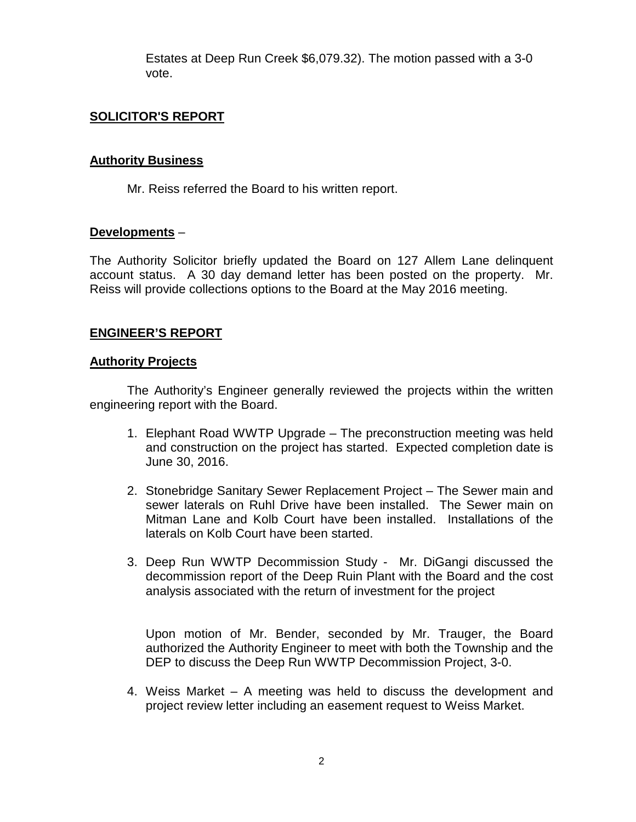Estates at Deep Run Creek \$6,079.32). The motion passed with a 3-0 vote.

# **SOLICITOR'S REPORT**

## **Authority Business**

Mr. Reiss referred the Board to his written report.

## **Developments** –

The Authority Solicitor briefly updated the Board on 127 Allem Lane delinquent account status. A 30 day demand letter has been posted on the property. Mr. Reiss will provide collections options to the Board at the May 2016 meeting.

## **ENGINEER'S REPORT**

#### **Authority Projects**

The Authority's Engineer generally reviewed the projects within the written engineering report with the Board.

- 1. Elephant Road WWTP Upgrade The preconstruction meeting was held and construction on the project has started. Expected completion date is June 30, 2016.
- 2. Stonebridge Sanitary Sewer Replacement Project The Sewer main and sewer laterals on Ruhl Drive have been installed. The Sewer main on Mitman Lane and Kolb Court have been installed. Installations of the laterals on Kolb Court have been started.
- 3. Deep Run WWTP Decommission Study Mr. DiGangi discussed the decommission report of the Deep Ruin Plant with the Board and the cost analysis associated with the return of investment for the project

Upon motion of Mr. Bender, seconded by Mr. Trauger, the Board authorized the Authority Engineer to meet with both the Township and the DEP to discuss the Deep Run WWTP Decommission Project, 3-0.

4. Weiss Market – A meeting was held to discuss the development and project review letter including an easement request to Weiss Market.